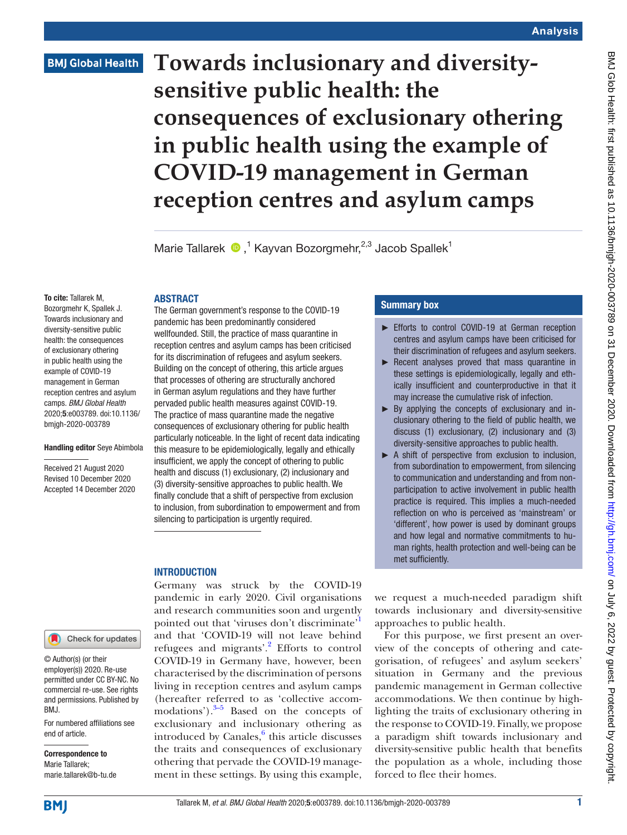## **BMJ Global Health**

# **Towards inclusionary and diversitysensitive public health: the consequences of exclusionary othering in public health using the example of COVID-19 management in German reception centres and asylum camps**

Marie Tallarek  $\bigcirc$ ,<sup>1</sup> Kayvan Bozorgmehr,<sup>2,3</sup> Jacob Spallek<sup>1</sup>

#### To cite: Tallarek M,

Bozorgmehr K, Spallek J. Towards inclusionary and diversity-sensitive public health: the consequences of exclusionary othering in public health using the example of COVID-19 management in German reception centres and asylum camps. *BMJ Global Health* 2020;5:e003789. doi:10.1136/ bmjgh-2020-003789

#### Handling editor Seye Abimbola

Received 21 August 2020 Revised 10 December 2020 Accepted 14 December 2020



© Author(s) (or their employer(s)) 2020. Re-use permitted under CC BY-NC. No commercial re-use. See rights and permissions. Published by BMJ.

For numbered affiliations see end of article.

Correspondence to Marie Tallarek; marie.tallarek@b-tu.de

**INTRODUCTION** 

**ABSTRACT** 

The German government's response to the COVID-19 pandemic has been predominantly considered wellfounded. Still, the practice of mass quarantine in reception centres and asylum camps has been criticised for its discrimination of refugees and asylum seekers. Building on the concept of othering, this article argues that processes of othering are structurally anchored in German asylum regulations and they have further pervaded public health measures against COVID-19. The practice of mass quarantine made the negative consequences of exclusionary othering for public health particularly noticeable. In the light of recent data indicating this measure to be epidemiologically, legally and ethically insufficient, we apply the concept of othering to public health and discuss (1) exclusionary, (2) inclusionary and (3) diversity-sensitive approaches to public health. We finally conclude that a shift of perspective from exclusion to inclusion, from subordination to empowerment and from silencing to participation is urgently required.

#### Summary box

- ► Efforts to control COVID-19 at German reception centres and asylum camps have been criticised for their discrimination of refugees and asylum seekers.
- ► Recent analyses proved that mass quarantine in these settings is epidemiologically, legally and ethically insufficient and counterproductive in that it may increase the cumulative risk of infection.
- ► By applying the concepts of exclusionary and inclusionary othering to the field of public health, we discuss (1) exclusionary, (2) inclusionary and (3) diversity-sensitive approaches to public health.
- ► A shift of perspective from exclusion to inclusion, from subordination to empowerment, from silencing to communication and understanding and from nonparticipation to active involvement in public health practice is required. This implies a much-needed reflection on who is perceived as 'mainstream' or 'different', how power is used by dominant groups and how legal and normative commitments to human rights, health protection and well-being can be met sufficiently.

Germany was struck by the COVID-19 pandemic in early 2020. Civil organisations and research communities soon and urgently pointed out that 'viruses don't discriminate' and that 'COVID-19 will not leave behind refugees and migrants'.<sup>2</sup> Efforts to control COVID-19 in Germany have, however, been characterised by the discrimination of persons living in reception centres and asylum camps (hereafter referred to as 'collective accommodations'). $3-5$  Based on the concepts of exclusionary and inclusionary othering as introduced by Canales, $\frac{6}{5}$  this article discusses the traits and consequences of exclusionary othering that pervade the COVID-19 management in these settings. By using this example,

we request a much-needed paradigm shift towards inclusionary and diversity-sensitive approaches to public health.

For this purpose, we first present an overview of the concepts of othering and categorisation, of refugees' and asylum seekers' situation in Germany and the previous pandemic management in German collective accommodations. We then continue by highlighting the traits of exclusionary othering in the response to COVID-19. Finally, we propose a paradigm shift towards inclusionary and diversity-sensitive public health that benefits the population as a whole, including those forced to flee their homes.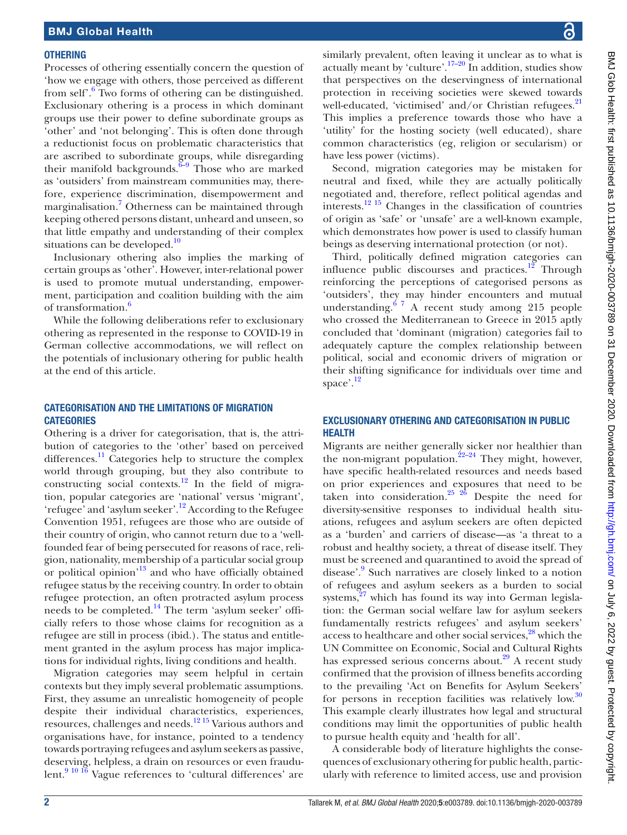#### **OTHERING**

Processes of othering essentially concern the question of 'how we engage with others, those perceived as different from self<sup>'.[6](#page-6-3)</sup> Two forms of othering can be distinguished. Exclusionary othering is a process in which dominant groups use their power to define subordinate groups as 'other' and 'not belonging'. This is often done through a reductionist focus on problematic characteristics that are ascribed to subordinate groups, while disregarding their manifold backgrounds.<sup> $\overline{6}$ -9 Those who are marked</sup> as 'outsiders' from mainstream communities may, therefore, experience discrimination, disempowerment and marginalisation.<sup>[7](#page-6-4)</sup> Otherness can be maintained through keeping othered persons distant, unheard and unseen, so that little empathy and understanding of their complex situations can be developed.<sup>[10](#page-6-5)</sup>

Inclusionary othering also implies the marking of certain groups as 'other'. However, inter-relational power is used to promote mutual understanding, empowerment, participation and coalition building with the aim of transformation.<sup>6</sup>

While the following deliberations refer to exclusionary othering as represented in the response to COVID-19 in German collective accommodations, we will reflect on the potentials of inclusionary othering for public health at the end of this article.

#### CATEGORISATION AND THE LIMITATIONS OF MIGRATION **CATEGORIES**

Othering is a driver for categorisation, that is, the attribution of categories to the 'other' based on perceived differences. $\frac{11}{11}$  Categories help to structure the complex world through grouping, but they also contribute to constructing social contexts.[12](#page-6-7) In the field of migration, popular categories are 'national' versus 'migrant', 'refugee' and 'asylum seeker'.[12](#page-6-7) According to the Refugee Convention 1951, refugees are those who are outside of their country of origin, who cannot return due to a 'wellfounded fear of being persecuted for reasons of race, religion, nationality, membership of a particular social group or political opinion'[13](#page-6-8) and who have officially obtained refugee status by the receiving country. In order to obtain refugee protection, an often protracted asylum process needs to be completed.[14](#page-6-9) The term 'asylum seeker' officially refers to those whose claims for recognition as a refugee are still in process (ibid.). The status and entitlement granted in the asylum process has major implications for individual rights, living conditions and health.

Migration categories may seem helpful in certain contexts but they imply several problematic assumptions. First, they assume an unrealistic homogeneity of people despite their individual characteristics, experiences, resources, challenges and needs.[12 15](#page-6-7) Various authors and organisations have, for instance, pointed to a tendency towards portraying refugees and asylum seekers as passive, deserving, helpless, a drain on resources or even fraudulent.<sup>9 10 16</sup> Vague references to 'cultural differences' are

similarly prevalent, often leaving it unclear as to what is actually meant by 'culture'.<sup>17–20</sup> In addition, studies show that perspectives on the deservingness of international protection in receiving societies were skewed towards well-educated, 'victimised' and/or Christian refugees. $^{21}$  $^{21}$  $^{21}$ This implies a preference towards those who have a 'utility' for the hosting society (well educated), share common characteristics (eg, religion or secularism) or have less power (victims).

Second, migration categories may be mistaken for neutral and fixed, while they are actually politically negotiated and, therefore, reflect political agendas and interests.[12 15](#page-6-7) Changes in the classification of countries of origin as 'safe' or 'unsafe' are a well-known example, which demonstrates how power is used to classify human beings as deserving international protection (or not).

Third, politically defined migration categories can influence public discourses and practices.<sup>12</sup> Through reinforcing the perceptions of categorised persons as 'outsiders', they may hinder encounters and mutual understanding. $67$  A recent study among 215 people who crossed the Mediterranean to Greece in 2015 aptly concluded that 'dominant (migration) categories fail to adequately capture the complex relationship between political, social and economic drivers of migration or their shifting significance for individuals over time and space'. $\frac{12}{2}$ 

#### EXCLUSIONARY OTHERING AND CATEGORISATION IN PUBLIC HEALTH

Migrants are neither generally sicker nor healthier than the non-migrant population.<sup>22-24</sup> They might, however, have specific health-related resources and needs based on prior experiences and exposures that need to be taken into consideration.<sup>25 26</sup> Despite the need for diversity-sensitive responses to individual health situations, refugees and asylum seekers are often depicted as a 'burden' and carriers of disease—as 'a threat to a robust and healthy society, a threat of disease itself. They must be screened and quarantined to avoid the spread of disease'.<sup>9</sup> Such narratives are closely linked to a notion of refugees and asylum seekers as a burden to social systems, $27$  which has found its way into German legislation: the German social welfare law for asylum seekers fundamentally restricts refugees' and asylum seekers' access to healthcare and other social services, $28$  which the UN Committee on Economic, Social and Cultural Rights has expressed serious concerns about. $29$  A recent study confirmed that the provision of illness benefits according to the prevailing 'Act on Benefits for Asylum Seekers' for persons in reception facilities was relatively low.<sup>30</sup> This example clearly illustrates how legal and structural conditions may limit the opportunities of public health to pursue health equity and 'health for all'.

A considerable body of literature highlights the consequences of exclusionary othering for public health, particularly with reference to limited access, use and provision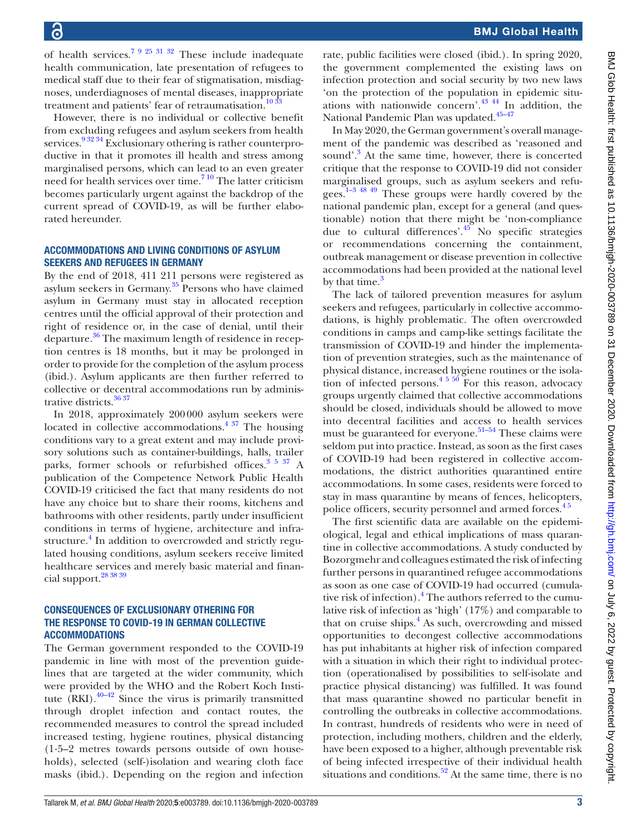of health services.<sup>7 9 25 31 32</sup> These include inadequate health communication, late presentation of refugees to medical staff due to their fear of stigmatisation, misdiagnoses, underdiagnoses of mental diseases, inappropriate treatment and patients' fear of retraumatisation.<sup>[10 33](#page-6-5)</sup>

However, there is no individual or collective benefit from excluding refugees and asylum seekers from health services.<sup>9 32 34</sup> Exclusionary othering is rather counterproductive in that it promotes ill health and stress among marginalised persons, which can lead to an even greater need for health services over time.<sup>710</sup> The latter criticism becomes particularly urgent against the backdrop of the current spread of COVID-19, as will be further elaborated hereunder.

#### ACCOMMODATIONS AND LIVING CONDITIONS OF ASYLUM SEEKERS AND REFUGEES IN GERMANY

By the end of 2018, 411 211 persons were registered as asylum seekers in Germany.<sup>[35](#page-7-5)</sup> Persons who have claimed asylum in Germany must stay in allocated reception centres until the official approval of their protection and right of residence or, in the case of denial, until their departure. $36$  The maximum length of residence in reception centres is 18 months, but it may be prolonged in order to provide for the completion of the asylum process (ibid.). Asylum applicants are then further referred to collective or decentral accommodations run by administrative districts.<sup>36 37</sup>

In 2018, approximately 200000 asylum seekers were located in collective accommodations. $4 \frac{37}{10}$  The housing conditions vary to a great extent and may include provisory solutions such as container-buildings, halls, trailer parks, former schools or refurbished offices.<sup>3 5 37</sup> A publication of the Competence Network Public Health COVID-19 criticised the fact that many residents do not have any choice but to share their rooms, kitchens and bathrooms with other residents, partly under insufficient conditions in terms of hygiene, architecture and infra-structure.<sup>[4](#page-6-14)</sup> In addition to overcrowded and strictly regulated housing conditions, asylum seekers receive limited healthcare services and merely basic material and financial support.[28 38 39](#page-7-2)

#### CONSEQUENCES OF EXCLUSIONARY OTHERING FOR THE RESPONSE TO COVID-19 IN GERMAN COLLECTIVE ACCOMMODATIONS

The German government responded to the COVID-19 pandemic in line with most of the prevention guidelines that are targeted at the wider community, which were provided by the WHO and the Robert Koch Institute  $(RKI)$ .<sup>40–42</sup> Since the virus is primarily transmitted through droplet infection and contact routes, the recommended measures to control the spread included increased testing, hygiene routines, physical distancing (1·5–2 metres towards persons outside of own households), selected (self-)isolation and wearing cloth face masks (ibid.). Depending on the region and infection

rate, public facilities were closed (ibid.). In spring 2020, the government complemented the existing laws on infection protection and social security by two new laws 'on the protection of the population in epidemic situ-ations with nationwide concern'.<sup>[43 44](#page-7-8)</sup> In addition, the National Pandemic Plan was updated.<sup>45-47</sup>

In May 2020, the German government's overall management of the pandemic was described as 'reasoned and sound'.<sup>3</sup> At the same time, however, there is concerted critique that the response to COVID-19 did not consider marginalised groups, such as asylum seekers and refugees.<sup>1-3 48 49</sup> These groups were hardly covered by the national pandemic plan, except for a general (and questionable) notion that there might be 'non-compliance due to cultural differences'. $45$  No specific strategies or recommendations concerning the containment, outbreak management or disease prevention in collective accommodations had been provided at the national level by that time.<sup>3</sup>

The lack of tailored prevention measures for asylum seekers and refugees, particularly in collective accommodations, is highly problematic. The often overcrowded conditions in camps and camp-like settings facilitate the transmission of COVID-19 and hinder the implementation of prevention strategies, such as the maintenance of physical distance, increased hygiene routines or the isolation of infected persons.<sup>4 5 50</sup> For this reason, advocacy groups urgently claimed that collective accommodations should be closed, individuals should be allowed to move into decentral facilities and access to health services must be guaranteed for everyone.<sup>[51–54](#page-7-10)</sup> These claims were seldom put into practice. Instead, as soon as the first cases of COVID-19 had been registered in collective accommodations, the district authorities quarantined entire accommodations. In some cases, residents were forced to stay in mass quarantine by means of fences, helicopters, police officers, security personnel and armed forces.<sup>45</sup>

The first scientific data are available on the epidemiological, legal and ethical implications of mass quarantine in collective accommodations. A study conducted by Bozorgmehr and colleagues estimated the risk of infecting further persons in quarantined refugee accommodations as soon as one case of COVID-19 had occurred (cumulative risk of infection).<sup>4</sup> The authors referred to the cumulative risk of infection as 'high' (17%) and comparable to that on cruise ships.<sup>[4](#page-6-14)</sup> As such, overcrowding and missed opportunities to decongest collective accommodations has put inhabitants at higher risk of infection compared with a situation in which their right to individual protection (operationalised by possibilities to self-isolate and practice physical distancing) was fulfilled. It was found that mass quarantine showed no particular benefit in controlling the outbreaks in collective accommodations. In contrast, hundreds of residents who were in need of protection, including mothers, children and the elderly, have been exposed to a higher, although preventable risk of being infected irrespective of their individual health situations and conditions.<sup>52</sup> At the same time, there is no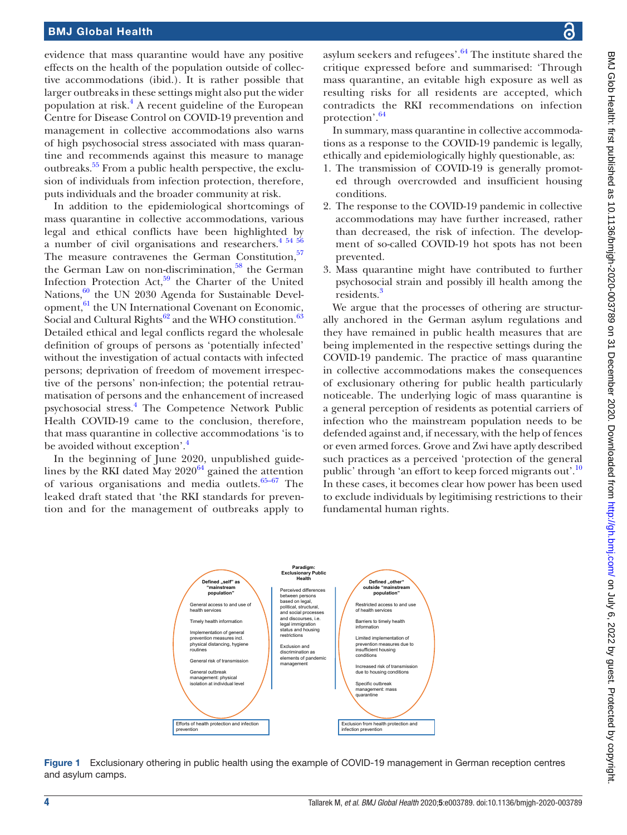#### BMJ Global Health

evidence that mass quarantine would have any positive effects on the health of the population outside of collective accommodations (ibid.). It is rather possible that larger outbreaks in these settings might also put the wider population at risk.<sup>[4](#page-6-14)</sup> A recent guideline of the European Centre for Disease Control on COVID-19 prevention and management in collective accommodations also warns of high psychosocial stress associated with mass quarantine and recommends against this measure to manage outbreaks.[55](#page-7-12) From a public health perspective, the exclusion of individuals from infection protection, therefore, puts individuals and the broader community at risk.

In addition to the epidemiological shortcomings of mass quarantine in collective accommodations, various legal and ethical conflicts have been highlighted by a number of civil organisations and researchers.<sup>[4 54 56](#page-6-14)</sup> The measure contravenes the German Constitution,<sup>[57](#page-7-13)</sup> the German Law on non-discrimination, $58$  the German Infection Protection Act, $59$  the Charter of the United Nations, $60$  the UN 2030 Agenda for Sustainable Development, <sup>61</sup> the UN International Covenant on Economic, Social and Cultural Rights $62$  and the WHO constitution.<sup>[63](#page-7-19)</sup> Detailed ethical and legal conflicts regard the wholesale definition of groups of persons as 'potentially infected' without the investigation of actual contacts with infected persons; deprivation of freedom of movement irrespective of the persons' non-infection; the potential retraumatisation of persons and the enhancement of increased psychosocial stress.[4](#page-6-14) The Competence Network Public Health COVID-19 came to the conclusion, therefore, that mass quarantine in collective accommodations 'is to be avoided without exception'.<sup>4</sup>

In the beginning of June 2020, unpublished guidelines by the RKI dated May  $2020^{64}$  $2020^{64}$  $2020^{64}$  gained the attention of various organisations and media outlets.<sup>65-67</sup> The leaked draft stated that 'the RKI standards for prevention and for the management of outbreaks apply to

asylum seekers and refugees'.<sup>64</sup> The institute shared the critique expressed before and summarised: 'Through mass quarantine, an evitable high exposure as well as resulting risks for all residents are accepted, which contradicts the RKI recommendations on infection protection'.<sup>[64](#page-7-20)</sup>

In summary, mass quarantine in collective accommodations as a response to the COVID-19 pandemic is legally, ethically and epidemiologically highly questionable, as:

- 1. The transmission of COVID-19 is generally promoted through overcrowded and insufficient housing conditions.
- 2. The response to the COVID-19 pandemic in collective accommodations may have further increased, rather than decreased, the risk of infection. The development of so-called COVID-19 hot spots has not been prevented.
- 3. Mass quarantine might have contributed to further psychosocial strain and possibly ill health among the residents.<sup>[3](#page-6-2)</sup>

We argue that the processes of othering are structurally anchored in the German asylum regulations and they have remained in public health measures that are being implemented in the respective settings during the COVID-19 pandemic. The practice of mass quarantine in collective accommodations makes the consequences of exclusionary othering for public health particularly noticeable. The underlying logic of mass quarantine is a general perception of residents as potential carriers of infection who the mainstream population needs to be defended against and, if necessary, with the help of fences or even armed forces. Grove and Zwi have aptly described such practices as a perceived 'protection of the general public' through 'an effort to keep forced migrants out'.<sup>[10](#page-6-5)</sup> In these cases, it becomes clear how power has been used to exclude individuals by legitimising restrictions to their fundamental human rights.



<span id="page-3-0"></span>Figure 1 Exclusionary othering in public health using the example of COVID-19 management in German reception centres and asylum camps.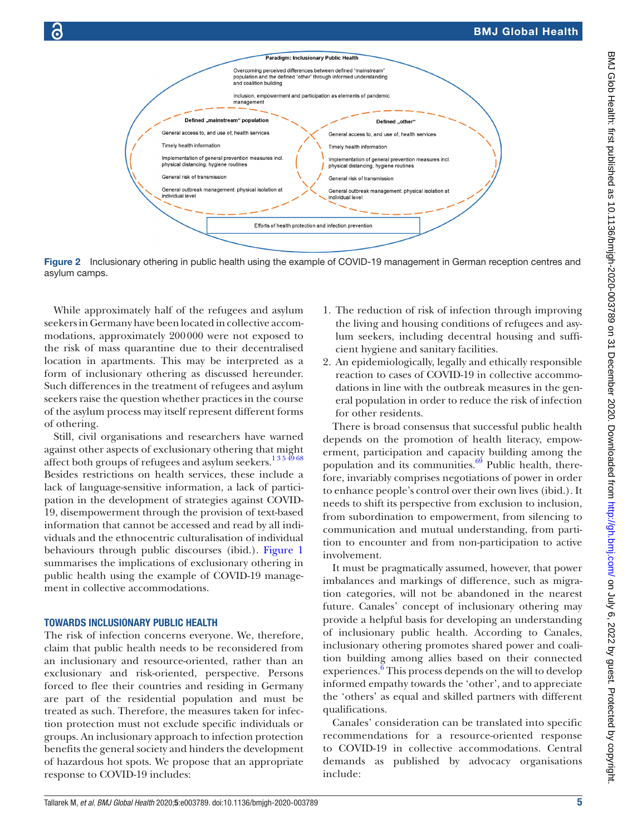

Figure 2 Inclusionary othering in public health using the example of COVID-19 management in German reception centres and asylum camps.

While approximately half of the refugees and asylum seekers in Germany have been located in collective accommodations, approximately 200000 were not exposed to the risk of mass quarantine due to their decentralised location in apartments. This may be interpreted as a form of inclusionary othering as discussed hereunder. Such differences in the treatment of refugees and asylum seekers raise the question whether practices in the course of the asylum process may itself represent different forms of othering.

Still, civil organisations and researchers have warned against other aspects of exclusionary othering that might affect both groups of refugees and asylum seekers.<sup>1354968</sup> Besides restrictions on health services, these include a lack of language-sensitive information, a lack of participation in the development of strategies against COVID-19, disempowerment through the provision of text-based information that cannot be accessed and read by all individuals and the ethnocentric culturalisation of individual behaviours through public discourses (ibid.). [Figure](#page-3-0) 1 summarises the implications of exclusionary othering in public health using the example of COVID-19 management in collective accommodations.

#### TOWARDS INCLUSIONARY PUBLIC HEALTH

The risk of infection concerns everyone. We, therefore, claim that public health needs to be reconsidered from an inclusionary and resource-oriented, rather than an exclusionary and risk-oriented, perspective. Persons forced to flee their countries and residing in Germany are part of the residential population and must be treated as such. Therefore, the measures taken for infection protection must not exclude specific individuals or groups. An inclusionary approach to infection protection benefits the general society and hinders the development of hazardous hot spots. We propose that an appropriate response to COVID-19 includes:

- <span id="page-4-0"></span>1. The reduction of risk of infection through improving the living and housing conditions of refugees and asylum seekers, including decentral housing and sufficient hygiene and sanitary facilities.
- 2. An epidemiologically, legally and ethically responsible reaction to cases of COVID-19 in collective accommodations in line with the outbreak measures in the general population in order to reduce the risk of infection for other residents.

There is broad consensus that successful public health depends on the promotion of health literacy, empowerment, participation and capacity building among the population and its communities. $69$  Public health, therefore, invariably comprises negotiations of power in order to enhance people's control over their own lives (ibid.). It needs to shift its perspective from exclusion to inclusion, from subordination to empowerment, from silencing to communication and mutual understanding, from partition to encounter and from non-participation to active involvement.

It must be pragmatically assumed, however, that power imbalances and markings of difference, such as migration categories, will not be abandoned in the nearest future. Canales' concept of inclusionary othering may provide a helpful basis for developing an understanding of inclusionary public health. According to Canales, inclusionary othering promotes shared power and coalition building among allies based on their connected experiences.<sup>6</sup> This process depends on the will to develop informed empathy towards the 'other', and to appreciate the 'others' as equal and skilled partners with different qualifications.

Canales' consideration can be translated into specific recommendations for a resource-oriented response to COVID-19 in collective accommodations. Central demands as published by advocacy organisations include: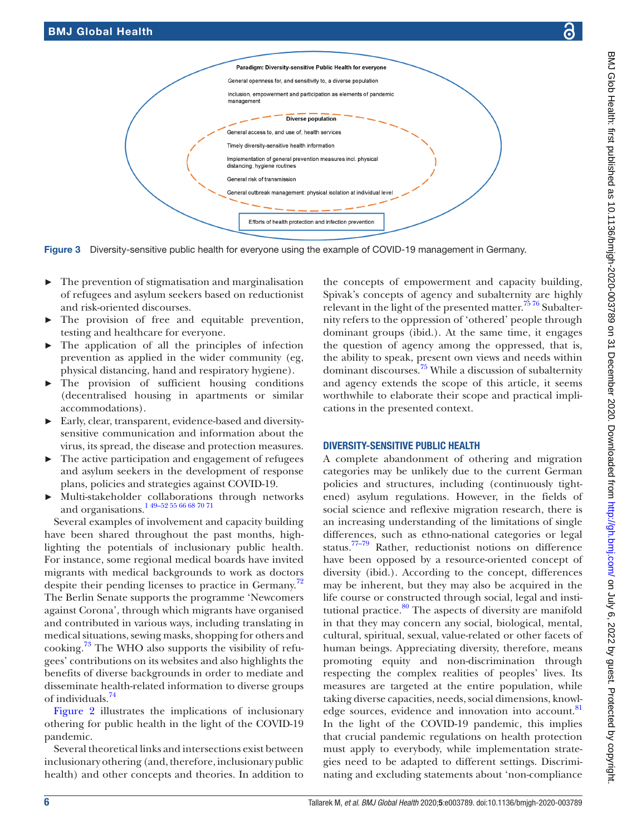

cations in the presented context.

DIVERSITY-SENSITIVE PUBLIC HEALTH A complete abandonment of othering and migration categories may be unlikely due to the current German policies and structures, including (continuously tightened) asylum regulations. However, in the fields of social science and reflexive migration research, there is an increasing understanding of the limitations of single differences, such as ethno-national categories or legal status.[77–79](#page-8-3) Rather, reductionist notions on difference have been opposed by a resource-oriented concept of diversity (ibid.). According to the concept, differences may be inherent, but they may also be acquired in the life course or constructed through social, legal and institutional practice. $80$  The aspects of diversity are manifold in that they may concern any social, biological, mental, cultural, spiritual, sexual, value-related or other facets of human beings. Appreciating diversity, therefore, means promoting equity and non-discrimination through respecting the complex realities of peoples' lives. Its measures are targeted at the entire population, while taking diverse capacities, needs, social dimensions, knowl-edge sources, evidence and innovation into account.<sup>[81](#page-8-5)</sup> In the light of the COVID-19 pandemic, this implies that crucial pandemic regulations on health protection must apply to everybody, while implementation strategies need to be adapted to different settings. Discriminating and excluding statements about 'non-compliance

### Figure 3 Diversity-sensitive public health for everyone using the example of COVID-19 management in Germany.

General access to, and use of, health services Timely diversity-sensitive health information

<span id="page-5-0"></span>distancing, hygiene routines General risk of transmission

Diverse population

management

- The prevention of stigmatisation and marginalisation of refugees and asylum seekers based on reductionist and risk-oriented discourses.
- The provision of free and equitable prevention, testing and healthcare for everyone.
- ► The application of all the principles of infection prevention as applied in the wider community (eg, physical distancing, hand and respiratory hygiene).
- ► The provision of sufficient housing conditions (decentralised housing in apartments or similar accommodations).
- Early, clear, transparent, evidence-based and diversitysensitive communication and information about the virus, its spread, the disease and protection measures.
- The active participation and engagement of refugees and asylum seekers in the development of response plans, policies and strategies against COVID-19.
- ► Multi-stakeholder collaborations through networks and organisations[.1 49–52 55 66 68 70 71](#page-6-0)

Several examples of involvement and capacity building have been shared throughout the past months, highlighting the potentials of inclusionary public health. For instance, some regional medical boards have invited migrants with medical backgrounds to work as doctors despite their pending licenses to practice in Germany.<sup>[72](#page-7-23)</sup> The Berlin Senate supports the programme 'Newcomers against Corona', through which migrants have organised and contributed in various ways, including translating in medical situations, sewing masks, shopping for others and cooking.[73](#page-8-0) The WHO also supports the visibility of refugees' contributions on its websites and also highlights the benefits of diverse backgrounds in order to mediate and disseminate health-related information to diverse groups of individuals[.74](#page-8-1)

[Figure](#page-4-0) 2 illustrates the implications of inclusionary othering for public health in the light of the COVID-19 pandemic.

Several theoretical links and intersections exist between inclusionary othering (and, therefore, inclusionary public health) and other concepts and theories. In addition to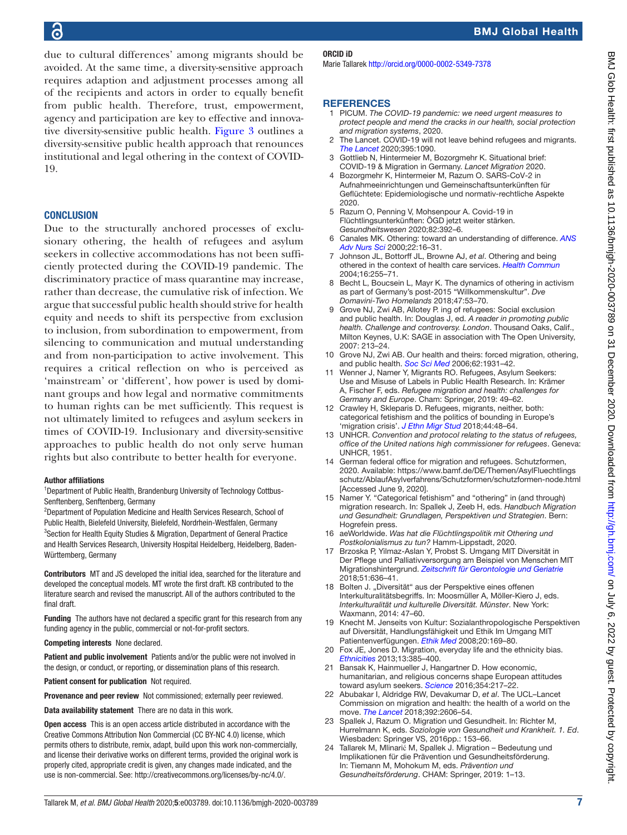due to cultural differences' among migrants should be avoided. At the same time, a diversity-sensitive approach requires adaption and adjustment processes among all of the recipients and actors in order to equally benefit from public health. Therefore, trust, empowerment, agency and participation are key to effective and innovative diversity-sensitive public health. [Figure](#page-5-0) 3 outlines a diversity-sensitive public health approach that renounces institutional and legal othering in the context of COVID-19.

#### CONCLUSION

Due to the structurally anchored processes of exclusionary othering, the health of refugees and asylum seekers in collective accommodations has not been sufficiently protected during the COVID-19 pandemic. The discriminatory practice of mass quarantine may increase, rather than decrease, the cumulative risk of infection. We argue that successful public health should strive for health equity and needs to shift its perspective from exclusion to inclusion, from subordination to empowerment, from silencing to communication and mutual understanding and from non-participation to active involvement. This requires a critical reflection on who is perceived as 'mainstream' or 'different', how power is used by dominant groups and how legal and normative commitments to human rights can be met sufficiently. This request is not ultimately limited to refugees and asylum seekers in times of COVID-19. Inclusionary and diversity-sensitive approaches to public health do not only serve human rights but also contribute to better health for everyone.

#### Author affiliations

<sup>1</sup>Department of Public Health, Brandenburg University of Technology Cottbus-Senftenberg, Senftenberg, Germany

<sup>2</sup>Department of Population Medicine and Health Services Research, School of Public Health, Bielefeld University, Bielefeld, Nordrhein-Westfalen, Germany <sup>3</sup>Section for Health Equity Studies & Migration, Department of General Practice and Health Services Research, University Hospital Heidelberg, Heidelberg, Baden-Württemberg, Germany

Contributors MT and JS developed the initial idea, searched for the literature and developed the conceptual models. MT wrote the first draft. KB contributed to the literature search and revised the manuscript. All of the authors contributed to the final draft.

Funding The authors have not declared a specific grant for this research from any funding agency in the public, commercial or not-for-profit sectors.

Competing interests None declared.

Patient and public involvement Patients and/or the public were not involved in the design, or conduct, or reporting, or dissemination plans of this research.

Patient consent for publication Not required.

Provenance and peer review Not commissioned; externally peer reviewed.

Data availability statement There are no data in this work.

Open access This is an open access article distributed in accordance with the Creative Commons Attribution Non Commercial (CC BY-NC 4.0) license, which permits others to distribute, remix, adapt, build upon this work non-commercially, and license their derivative works on different terms, provided the original work is properly cited, appropriate credit is given, any changes made indicated, and the use is non-commercial. See:<http://creativecommons.org/licenses/by-nc/4.0/>.

#### ORCID iD

Marie Tallarek<http://orcid.org/0000-0002-5349-7378>

#### **REFERENCES**

- <span id="page-6-0"></span>1 PICUM. *The COVID-19 pandemic: we need urgent measures to protect people and mend the cracks in our health, social protection and migration systems*, 2020.
- <span id="page-6-1"></span>2 The Lancet. COVID-19 will not leave behind refugees and migrants. *[The Lancet](http://dx.doi.org/10.1016/S0140-6736(20)30758-3)* 2020;395:1090.
- <span id="page-6-2"></span>3 Gottlieb N, Hintermeier M, Bozorgmehr K. Situational brief: COVID-19 & Migration in Germany. *Lancet Migration* 2020.
- <span id="page-6-14"></span>4 Bozorgmehr K, Hintermeier M, Razum O. SARS‐CoV‐2 in Aufnahmeeinrichtungen und Gemeinschaftsunterkünften für Geflüchtete: Epidemiologische und normativ‐rechtliche Aspekte 2020.
- 5 Razum O, Penning V, Mohsenpour A. Covid-19 in Flüchtlingsunterkünften: ÖGD jetzt weiter stärken. *Gesundheitswesen* 2020;82:392–6.
- <span id="page-6-3"></span>6 Canales MK. Othering: toward an understanding of difference. *[ANS](http://dx.doi.org/10.1097/00012272-200006000-00003)  [Adv Nurs Sci](http://dx.doi.org/10.1097/00012272-200006000-00003)* 2000;22:16–31.
- <span id="page-6-4"></span>7 Johnson JL, Bottorff JL, Browne AJ, *et al*. Othering and being othered in the context of health care services. *[Health Commun](http://dx.doi.org/10.1207/S15327027HC1602_7)* 2004;16:255–71.
- 8 Becht L, Boucsein L, Mayr K. The dynamics of othering in activism as part of Germany's post-2015 "Willkommenskultur". *Dve Domavini-Two Homelands* 2018;47:53–70.
- <span id="page-6-10"></span>9 Grove NJ, Zwi AB, Allotey P. ing of refugees: Social exclusion and public health. In: Douglas J, ed. *A reader in promoting public health. Challenge and controversy. London*. Thousand Oaks, Calif., Milton Keynes, U.K: SAGE in association with The Open University, 2007: 213–24.
- <span id="page-6-5"></span>10 Grove NJ, Zwi AB. Our health and theirs: forced migration, othering, and public health. *[Soc Sci Med](http://dx.doi.org/10.1016/j.socscimed.2005.08.061)* 2006;62:1931–42.
- <span id="page-6-6"></span>Wenner J, Namer Y, Migrants RO. Refugees, Asylum Seekers: Use and Misuse of Labels in Public Health Research. In: Krämer A, Fischer F, eds. *Refugee migration and health: challenges for Germany and Europe*. Cham: Springer, 2019: 49–62.
- <span id="page-6-7"></span>12 Crawley H, Skleparis D. Refugees, migrants, neither, both: categorical fetishism and the politics of bounding in Europe's 'migration crisis'. *[J Ethn Migr Stud](http://dx.doi.org/10.1080/1369183X.2017.1348224)* 2018;44:48–64.
- <span id="page-6-8"></span>13 UNHCR. *Convention and protocol relating to the status of refugees, office of the United nations high commissioner for refugees*. Geneva: UNHCR, 1951.
- <span id="page-6-9"></span>14 German federal office for migration and refugees. Schutzformen, 2020. Available: [https://www.bamf.de/DE/Themen/AsylFluechtlings](https://www.bamf.de/DE/Themen/AsylFluechtlingsschutz/AblaufAsylverfahrens/Schutzformen/schutzformen-node.html) [schutz/AblaufAsylverfahrens/Schutzformen/schutzformen-node.html](https://www.bamf.de/DE/Themen/AsylFluechtlingsschutz/AblaufAsylverfahrens/Schutzformen/schutzformen-node.html)  [Accessed June 9, 2020].
- 15 Namer Y. "Categorical fetishism" and "othering" in (and through) migration research. In: Spallek J, Zeeb H, eds. *Handbuch Migration und Gesundheit: Grundlagen, Perspektiven und Strategien*. Bern: Hogrefein press.
- 16 aeWorldwide. *Was hat die Flüchtlingspolitik mit Othering und Postkolonialismus zu tun?* Hamm-Lippstadt, 2020.
- <span id="page-6-11"></span>17 Brzoska P, Yilmaz-Aslan Y, Probst S. Umgang MIT Diversität in Der Pflege und Palliativversorgung am Beispiel von Menschen MIT Migrationshintergrund. *[Zeitschrift für Gerontologie und Geriatrie](http://dx.doi.org/10.1007/s00391-017-1265-8)* 2018;51:636–41.
- 18 Bolten J. "Diversität" aus der Perspektive eines offenen Interkulturalitätsbegriffs. In: Moosmüller A, Möller-Kiero J, eds. *Interkulturalität und kulturelle Diversität. Münster*. New York: Waxmann, 2014: 47–60.
- 19 Knecht M. Jenseits von Kultur: Sozialanthropologische Perspektiven auf Diversität, Handlungsfähigkeit und Ethik Im Umgang MIT Patientenverfügungen. *[Ethik Med](http://dx.doi.org/10.1007/s00481-008-0576-0)* 2008;20:169–80.
- 20 Fox JE, Jones D. Migration, everyday life and the ethnicity bias. *[Ethnicities](http://dx.doi.org/10.1177/1468796813483727)* 2013;13:385–400.
- <span id="page-6-12"></span>21 Bansak K, Hainmueller J, Hangartner D. How economic, humanitarian, and religious concerns shape European attitudes toward asylum seekers. *[Science](http://dx.doi.org/10.1126/science.aag2147)* 2016;354:217–22.
- <span id="page-6-13"></span>22 Abubakar I, Aldridge RW, Devakumar D, *et al*. The UCL–Lancet Commission on migration and health: the health of a world on the move. *[The Lancet](http://dx.doi.org/10.1016/S0140-6736(18)32114-7)* 2018;392:2606–54.
- 23 Spallek J, Razum O. Migration und Gesundheit. In: Richter M, Hurrelmann K, eds. *Soziologie von Gesundheit und Krankheit. 1. Ed*. Wiesbaden: Springer VS, 2016pp.: 153–66.
- 24 Tallarek M, Mlinarić M, Spallek J. Migration Bedeutung und Implikationen für die Prävention und Gesundheitsförderung. In: Tiemann M, Mohokum M, eds. *Prävention und Gesundheitsförderung*. CHAM: Springer, 2019: 1–13.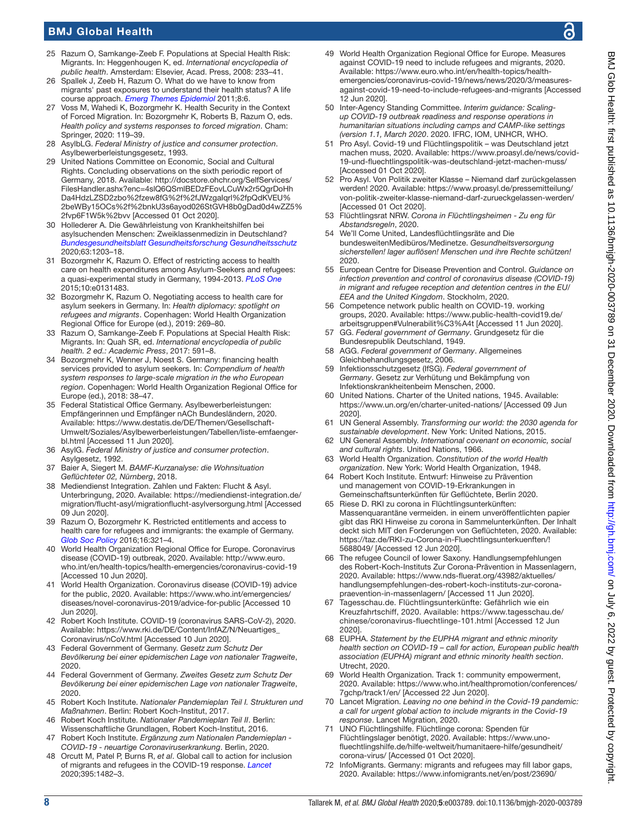- <span id="page-7-0"></span>25 Razum O, Samkange-Zeeb F. Populations at Special Health Risk: Migrants. In: Heggenhougen K, ed. *International encyclopedia of public health*. Amsterdam: Elsevier, Acad. Press, 2008: 233–41.
- 26 Spallek J, Zeeb H, Razum O. What do we have to know from migrants' past exposures to understand their health status? A life course approach. *[Emerg Themes Epidemiol](http://dx.doi.org/10.1186/1742-7622-8-6)* 2011;8:6.
- <span id="page-7-1"></span>27 Voss M, Wahedi K, Bozorgmehr K. Health Security in the Context of Forced Migration. In: Bozorgmehr K, Roberts B, Razum O, eds. *Health policy and systems responses to forced migration*. Cham: Springer, 2020: 119–39.
- <span id="page-7-2"></span>28 AsylbLG. *Federal Ministry of justice and consumer protection*. Asylbewerberleistungsgesetz, 1993.
- <span id="page-7-3"></span>29 United Nations Committee on Economic, Social and Cultural Rights. Concluding observations on the sixth periodic report of Germany, 2018. Available: [http://docstore.ohchr.org/SelfServices/](http://docstore.ohchr.org/SelfServices/FilesHandler.ashx?enc=4slQ6QSmlBEDzFEovLCuWx2r5QgrDoHhDa4HdzLZSD2zbo%2fzew8fG%2f%2fJWzgaIqrl%2fpQdKVEU%2beWBy15OCs%2f%2bnkU3s6ayod026StGVH8b0gDad0d4wZZ5%2fvp6F1W5k%2bvv) [FilesHandler.ashx?enc=4slQ6QSmlBEDzFEovLCuWx2r5QgrDoHh](http://docstore.ohchr.org/SelfServices/FilesHandler.ashx?enc=4slQ6QSmlBEDzFEovLCuWx2r5QgrDoHhDa4HdzLZSD2zbo%2fzew8fG%2f%2fJWzgaIqrl%2fpQdKVEU%2beWBy15OCs%2f%2bnkU3s6ayod026StGVH8b0gDad0d4wZZ5%2fvp6F1W5k%2bvv) [Da4HdzLZSD2zbo%2fzew8fG%2f%2fJWzgaIqrl%2fpQdKVEU%](http://docstore.ohchr.org/SelfServices/FilesHandler.ashx?enc=4slQ6QSmlBEDzFEovLCuWx2r5QgrDoHhDa4HdzLZSD2zbo%2fzew8fG%2f%2fJWzgaIqrl%2fpQdKVEU%2beWBy15OCs%2f%2bnkU3s6ayod026StGVH8b0gDad0d4wZZ5%2fvp6F1W5k%2bvv) [2beWBy15OCs%2f%2bnkU3s6ayod026StGVH8b0gDad0d4wZZ5%](http://docstore.ohchr.org/SelfServices/FilesHandler.ashx?enc=4slQ6QSmlBEDzFEovLCuWx2r5QgrDoHhDa4HdzLZSD2zbo%2fzew8fG%2f%2fJWzgaIqrl%2fpQdKVEU%2beWBy15OCs%2f%2bnkU3s6ayod026StGVH8b0gDad0d4wZZ5%2fvp6F1W5k%2bvv) [2fvp6F1W5k%2bvv](http://docstore.ohchr.org/SelfServices/FilesHandler.ashx?enc=4slQ6QSmlBEDzFEovLCuWx2r5QgrDoHhDa4HdzLZSD2zbo%2fzew8fG%2f%2fJWzgaIqrl%2fpQdKVEU%2beWBy15OCs%2f%2bnkU3s6ayod026StGVH8b0gDad0d4wZZ5%2fvp6F1W5k%2bvv) [Accessed 01 Oct 2020].
- <span id="page-7-4"></span>30 Hollederer A. Die Gewährleistung von Krankheitshilfen bei asylsuchenden Menschen: Zweiklassenmedizin in Deutschland? *[Bundesgesundheitsblatt Gesundheitsforschung Gesundheitsschutz](http://dx.doi.org/10.1007/s00103-020-03215-7)* 2020;63:1203–18.
- 31 Bozorgmehr K, Razum O. Effect of restricting access to health care on health expenditures among Asylum-Seekers and refugees: a quasi-experimental study in Germany, 1994-2013. *[PLoS One](http://dx.doi.org/10.1371/journal.pone.0131483)* 2015;10:e0131483.
- 32 Bozorgmehr K, Razum O. Negotiating access to health care for asylum seekers in Germany. In: *Health diplomacy: spotlight on refugees and migrants*. Copenhagen: World Health Organization Regional Office for Europe (ed.), 2019: 269–80.
- 33 Razum O, Samkange-Zeeb F. Populations at Special Health Risk: Migrants. In: Quah SR, ed. *International encyclopedia of public health. 2 ed.: Academic Press*, 2017: 591–8.
- 34 Bozorgmehr K, Wenner J, Noest S. Germany: financing health services provided to asylum seekers. In: *Compendium of health system responses to large-scale migration in the who European region*. Copenhagen: World Health Organization Regional Office for Europe (ed.), 2018: 38–47.
- <span id="page-7-5"></span>35 Federal Statistical Office Germany. Asylbewerberleistungen: Empfängerinnen und Empfänger nACh Bundesländern, 2020. Available: [https://www.destatis.de/DE/Themen/Gesellschaft-](https://www.destatis.de/DE/Themen/Gesellschaft-Umwelt/Soziales/Asylbewerberleistungen/Tabellen/liste-emfaenger-bl.html)[Umwelt/Soziales/Asylbewerberleistungen/Tabellen/liste-emfaenger](https://www.destatis.de/DE/Themen/Gesellschaft-Umwelt/Soziales/Asylbewerberleistungen/Tabellen/liste-emfaenger-bl.html)[bl.html](https://www.destatis.de/DE/Themen/Gesellschaft-Umwelt/Soziales/Asylbewerberleistungen/Tabellen/liste-emfaenger-bl.html) [Accessed 11 Jun 2020].
- <span id="page-7-6"></span>36 AsylG. *Federal Ministry of justice and consumer protection*. Asylgesetz, 1992.
- 37 Baier A, Siegert M. *BAMF-Kurzanalyse: die Wohnsituation Geflüchteter 02, Nürnberg*, 2018.
- 38 Mediendienst Integration. Zahlen und Fakten: Flucht & Asyl. Unterbringung, 2020. Available: [https://mediendienst-integration.de/](https://mediendienst-integration.de/migration/flucht-asyl/migrationflucht-asylversorgung.html) [migration/flucht-asyl/migrationflucht-asylversorgung.html](https://mediendienst-integration.de/migration/flucht-asyl/migrationflucht-asylversorgung.html) [Accessed 09 Jun 2020].
- 39 Razum O, Bozorgmehr K. Restricted entitlements and access to health care for refugees and immigrants: the example of Germany. *[Glob Soc Policy](http://dx.doi.org/10.1177/1468018116655267)* 2016;16:321–4.
- <span id="page-7-7"></span>40 World Health Organization Regional Office for Europe. Coronavirus disease (COVID-19) outbreak, 2020. Available: [http://www.euro.](http://www.euro.who.int/en/health-topics/health-emergencies/coronavirus-covid-19) [who.int/en/health-topics/health-emergencies/coronavirus-covid-19](http://www.euro.who.int/en/health-topics/health-emergencies/coronavirus-covid-19)  [Accessed 10 Jun 2020].
- 41 World Health Organization. Coronavirus disease (COVID-19) advice for the public, 2020. Available: [https://www.who.int/emergencies/](https://www.who.int/emergencies/diseases/novel-coronavirus-2019/advice-for-public) [diseases/novel-coronavirus-2019/advice-for-public](https://www.who.int/emergencies/diseases/novel-coronavirus-2019/advice-for-public) [Accessed 10 Jun 2020].
- 42 Robert Koch Institute. COVID-19 (coronavirus SARS-CoV-2), 2020. Available: [https://www.rki.de/DE/Content/InfAZ/N/Neuartiges\\_](https://www.rki.de/DE/Content/InfAZ/N/Neuartiges_Coronavirus/nCoV.html) [Coronavirus/nCoV.html](https://www.rki.de/DE/Content/InfAZ/N/Neuartiges_Coronavirus/nCoV.html) [Accessed 10 Jun 2020].
- <span id="page-7-8"></span>43 Federal Government of Germany. *Gesetz zum Schutz Der Bevölkerung bei einer epidemischen Lage von nationaler Tragweite*, 2020.
- 44 Federal Government of Germany. *Zweites Gesetz zum Schutz Der Bevölkerung bei einer epidemischen Lage von nationaler Tragweite*, 2020.
- <span id="page-7-9"></span>45 Robert Koch Institute. *Nationaler Pandemieplan Teil I. Strukturen und Maßnahmen*. Berlin: Robert Koch-Institut, 2017.
- 46 Robert Koch Institute. *Nationaler Pandemieplan Teil II*. Berlin: Wissenschaftliche Grundlagen, Robert Koch-Institut, 2016.
- 47 Robert Koch Institute. *Ergänzung zum Nationalen Pandemieplan COVID-19 - neuartige Coronaviruserkrankung*. Berlin, 2020.
- 48 Orcutt M, Patel P, Burns R, *et al*. Global call to action for inclusion of migrants and refugees in the COVID-19 response. *[Lancet](http://dx.doi.org/10.1016/S0140-6736(20)30971-5)* 2020;395:1482–3.
- 49 World Health Organization Regional Office for Europe. Measures against COVID-19 need to include refugees and migrants, 2020. Available: [https://www.euro.who.int/en/health-topics/health](https://www.euro.who.int/en/health-topics/health-emergencies/coronavirus-covid-19/news/news/2020/3/measures-against-covid-19-need-to-include-refugees-and-migrants)[emergencies/coronavirus-covid-19/news/news/2020/3/measures](https://www.euro.who.int/en/health-topics/health-emergencies/coronavirus-covid-19/news/news/2020/3/measures-against-covid-19-need-to-include-refugees-and-migrants)[against-covid-19-need-to-include-refugees-and-migrants](https://www.euro.who.int/en/health-topics/health-emergencies/coronavirus-covid-19/news/news/2020/3/measures-against-covid-19-need-to-include-refugees-and-migrants) [Accessed 12 Jun 2020].
- 50 Inter-Agency Standing Committee. *Interim guidance: Scalingup COVID-19 outbreak readiness and response operations in humanitarian situations including camps and CAMP-like settings (version 1.1, March 2020*. 2020. IFRC, IOM, UNHCR, WHO.
- <span id="page-7-10"></span>51 Pro Asyl. Covid-19 und Flüchtlingspolitik – was Deutschland jetzt machen muss, 2020. Available: [https://www.proasyl.de/news/covid-](https://www.proasyl.de/news/covid-19-und-fluechtlingspolitik-was-deutschland-jetzt-machen-muss/)[19-und-fluechtlingspolitik-was-deutschland-jetzt-machen-muss/](https://www.proasyl.de/news/covid-19-und-fluechtlingspolitik-was-deutschland-jetzt-machen-muss/)  [Accessed 01 Oct 2020].
- <span id="page-7-11"></span>52 Pro Asyl. Von Politik zweiter Klasse – Niemand darf zurückgelassen werden! 2020. Available: [https://www.proasyl.de/pressemitteilung/](https://www.proasyl.de/pressemitteilung/von-politik-zweiter-klasse-niemand-darf-zurueckgelassen-werden/) [von-politik-zweiter-klasse-niemand-darf-zurueckgelassen-werden/](https://www.proasyl.de/pressemitteilung/von-politik-zweiter-klasse-niemand-darf-zurueckgelassen-werden/)  [Accessed 01 Oct 2020].
- 53 Flüchtlingsrat NRW. *Corona in Flüchtlingsheimen Zu eng für Abstandsregeln*, 2020.
- 54 We'll Come United, Landesflüchtlingsräte and Die bundesweitenMedibüros/Medinetze. *Gesundheitsversorgung sicherstellen! lager auflösen! Menschen und ihre Rechte schützen!* 2020.
- <span id="page-7-12"></span>55 European Centre for Disease Prevention and Control. *Guidance on infection prevention and control of coronavirus disease (COVID-19) in migrant and refugee reception and detention centres in the EU/ EEA and the United Kingdom*. Stockholm, 2020.
- 56 Competence network public health on COVID-19. working groups, 2020. Available: [https://www.public-health-covid19.de/](https://www.public-health-covid19.de/arbeitsgruppen#Vulnerabilit%C3%A4t) [arbeitsgruppen#Vulnerabilit%C3%A4t](https://www.public-health-covid19.de/arbeitsgruppen#Vulnerabilit%C3%A4t) [Accessed 11 Jun 2020].
- <span id="page-7-13"></span>57 GG. *Federal government of Germany*. Grundgesetz für die Bundesrepublik Deutschland, 1949. 58 AGG. *Federal government of Germany*. Allgemeines
- <span id="page-7-14"></span>Gleichbehandlungsgesetz, 2006. 59 Infektionsschutzgesetz (IfSG). *Federal government of*
- <span id="page-7-15"></span>*Germany*. Gesetz zur Verhütung und Bekämpfung von Infektionskrankheitenbeim Menschen, 2000.
- <span id="page-7-16"></span>60 United Nations. Charter of the United nations, 1945. Available: <https://www.un.org/en/charter-united-nations/> [Accessed 09 Jun 2020].
- <span id="page-7-17"></span>61 UN General Assembly. *Transforming our world: the 2030 agenda for sustainable development*. New York: United Nations, 2015.
- <span id="page-7-18"></span>62 UN General Assembly. *International covenant on economic, social and cultural rights*. United Nations, 1966.
- <span id="page-7-19"></span>63 World Health Organization. *Constitution of the world Health organization*. New York: World Health Organization, 1948.
- <span id="page-7-20"></span>64 Robert Koch Institute. Entwurf: Hinweise zu Prävention und management von COVID-19-Erkrankungen in Gemeinschaftsunterkünften für Geflüchtete, Berlin 2020.
- <span id="page-7-21"></span>65 Riese D. RKI zu corona in Flüchtlingsunterkünften: Massenquarantäne vermeiden. in einem unveröffentlichten papier gibt das RKI Hinweise zu corona in Sammelunterkünften. Der Inhalt deckt sich MIT den Forderungen von Geflüchteten, 2020. Available: [https://taz.de/RKI-zu-Corona-in-Fluechtlingsunterkuenften/!](https://taz.de/RKI-zu-Corona-in-Fluechtlingsunterkuenften/!5688049/) [5688049/](https://taz.de/RKI-zu-Corona-in-Fluechtlingsunterkuenften/!5688049/) [Accessed 12 Jun 2020].
- 66 The refugee Council of lower Saxony. Handlungsempfehlungen des Robert-Koch-Instituts Zur Corona-Prävention in Massenlagern, 2020. Available: [https://www.nds-fluerat.org/43982/aktuelles/](https://www.nds-fluerat.org/43982/aktuelles/handlungsempfehlungen-des-robert-koch-instituts-zur-corona-praevention-in-massenlagern/) [handlungsempfehlungen-des-robert-koch-instituts-zur-corona](https://www.nds-fluerat.org/43982/aktuelles/handlungsempfehlungen-des-robert-koch-instituts-zur-corona-praevention-in-massenlagern/)[praevention-in-massenlagern/](https://www.nds-fluerat.org/43982/aktuelles/handlungsempfehlungen-des-robert-koch-instituts-zur-corona-praevention-in-massenlagern/) [Accessed 11 Jun 2020].
- 67 Tagesschau.de. Flüchtlingsunterkünfte: Gefährlich wie ein Kreuzfahrtschiff, 2020. Available: [https://www.tagesschau.de/](https://www.tagesschau.de/chinese/coronavirus-fluechtlinge-101.html) [chinese/coronavirus-fluechtlinge-101.html](https://www.tagesschau.de/chinese/coronavirus-fluechtlinge-101.html) [Accessed 12 Jun 2020].
- 68 EUPHA. *Statement by the EUPHA migrant and ethnic minority health section on COVID-19 – call for action, European public health association (EUPHA) migrant and ethnic minority health section*. Utrecht, 2020.
- <span id="page-7-22"></span>69 World Health Organization. Track 1: community empowerment, 2020. Available: [https://www.who.int/healthpromotion/conferences/](https://www.who.int/healthpromotion/conferences/7gchp/track1/en/) [7gchp/track1/en/](https://www.who.int/healthpromotion/conferences/7gchp/track1/en/) [Accessed 22 Jun 2020].
- 70 Lancet Migration. *Leaving no one behind in the Covid-19 pandemic: a call for urgent global action to include migrants in the Covid-19 response*. Lancet Migration, 2020.
- 71 UNO Flüchtlingshilfe. Flüchtlinge corona: Spenden für Flüchtlingslager benötigt, 2020. Available: [https://www.uno](https://www.uno-fluechtlingshilfe.de/hilfe-weltweit/humanitaere-hilfe/gesundheit/corona-virus/)[fluechtlingshilfe.de/hilfe-weltweit/humanitaere-hilfe/gesundheit/](https://www.uno-fluechtlingshilfe.de/hilfe-weltweit/humanitaere-hilfe/gesundheit/corona-virus/) [corona-virus/](https://www.uno-fluechtlingshilfe.de/hilfe-weltweit/humanitaere-hilfe/gesundheit/corona-virus/) [Accessed 01 Oct 2020].
- <span id="page-7-23"></span>InfoMigrants. Germany: migrants and refugees may fill labor gaps, 2020. Available: [https://www.infomigrants.net/en/post/23690/](https://www.infomigrants.net/en/post/23690/germany-migrants-and-refugees-may-fill-labor-gaps)